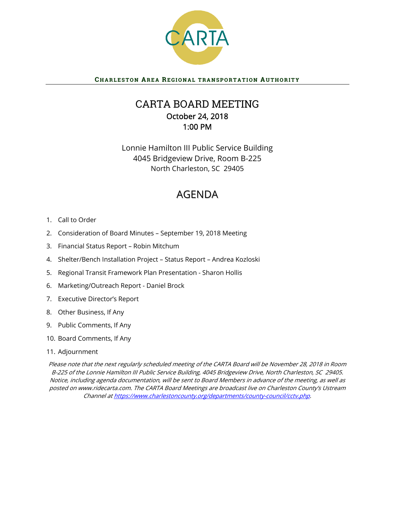

# CHARLESTON AREA REGIONAL TRANSPORTATION AUTHORITY

# CARTA BOARD MEETING October 24, 2018 1:00 PM

Lonnie Hamilton III Public Service Building 4045 Bridgeview Drive, Room B-225 North Charleston, SC 29405

# AGENDA

- 1. Call to Order
- 2. Consideration of Board Minutes September 19, 2018 Meeting
- 3. Financial Status Report Robin Mitchum
- 4. Shelter/Bench Installation Project Status Report Andrea Kozloski
- 5. Regional Transit Framework Plan Presentation Sharon Hollis
- 6. Marketing/Outreach Report Daniel Brock
- 7. Executive Director's Report
- 8. Other Business, If Any
- 9. Public Comments, If Any
- 10. Board Comments, If Any
- 11. Adjournment

Please note that the next regularly scheduled meeting of the CARTA Board will be November 28, 2018 in Room B-225 of the Lonnie Hamilton III Public Service Building, 4045 Bridgeview Drive, North Charleston, SC 29405. Notice, including agenda documentation, will be sent to Board Members in advance of the meeting, as well as posted on www.ridecarta.com. The CARTA Board Meetings are broadcast live on Charleston County's Ustream Channel at https://www.charlestoncounty.org/departments/county-council/cctv.php.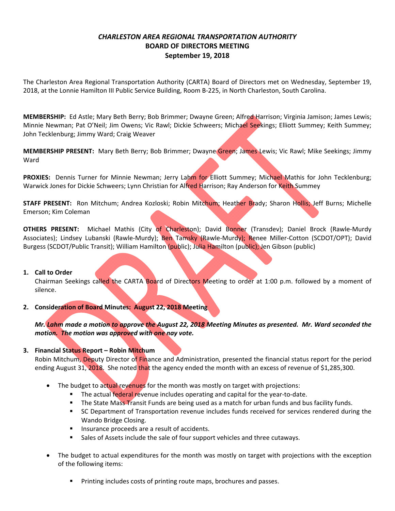# *CHARLESTON AREA REGIONAL TRANSPORTATION AUTHORITY* **BOARD OF DIRECTORS MEETING September 19, 2018**

The Charleston Area Regional Transportation Authority (CARTA) Board of Directors met on Wednesday, September 19, 2018, at the Lonnie Hamilton III Public Service Building, Room B‐225, in North Charleston, South Carolina.

**MEMBERSHIP:** Ed Astle; Mary Beth Berry; Bob Brimmer; Dwayne Green; Alfred Harrison; Virginia Jamison; James Lewis; Minnie Newman; Pat O'Neil; Jim Owens; Vic Rawl; Dickie Schweers; Michael Seekings; Elliott Summey; Keith Summey; John Tecklenburg; Jimmy Ward; Craig Weaver

**MEMBERSHIP PRESENT:** Mary Beth Berry; Bob Brimmer; Dwayne Green; James Lewis; Vic Rawl; Mike Seekings; Jimmy Ward

**PROXIES:** Dennis Turner for Minnie Newman; Jerry Lahm for Elliott Summey; Michael Mathis for John Tecklenburg; Warwick Jones for Dickie Schweers; Lynn Christian for Alfred Harrison; Ray Anderson for Keith Summey

**STAFF PRESENT:** Ron Mitchum; Andrea Kozloski; Robin Mitchum; Heather Brady; Sharon Hollis; Jeff Burns; Michelle Emerson; Kim Coleman

**OTHERS PRESENT:** Michael Mathis (City of Charleston); David Bonner (Transdev); Daniel Brock (Rawle‐Murdy Associates); Lindsey Lubanski (Rawle-Murdy); Ben Tamsky (Rawle-Murdy); Renee Miller-Cotton (SCDOT/OPT); David Burgess (SCDOT/Public Transit); William Hamilton (public); Julia Hamilton (public); Jen Gibson (public)

# **1. Call to Order**

Chairman Seekings called the CARTA Board of Directors Meeting to order at 1:00 p.m. followed by a moment of silence.

**2. Consideration of Board Minutes: August 22, 2018 Meeting**

Mr. Lahm made a motion to approve the August 22, 2018 Meeting Minutes as presented. Mr. Ward seconded the *motion. The motion was approved with one nay vote.*

# **3. Financial Status Report – Robin Mitchum**

Robin Mitchum, Deputy Director of Finance and Administration, presented the financial status report for the period ending August 31, 2018. She noted that the agency ended the month with an excess of revenue of \$1,285,300.

- The budget to actual revenues for the month was mostly on target with projections:
	- The actual federal revenue includes operating and capital for the year-to-date.
	- The State Mass Transit Funds are being used as a match for urban funds and bus facility funds.
	- SC Department of Transportation revenue includes funds received for services rendered during the Wando Bridge Closing.
	- **Insurance proceeds are a result of accidents.**
	- Sales of Assets include the sale of four support vehicles and three cutaways.
- The budget to actual expenditures for the month was mostly on target with projections with the exception of the following items:
	- **Printing includes costs of printing route maps, brochures and passes.**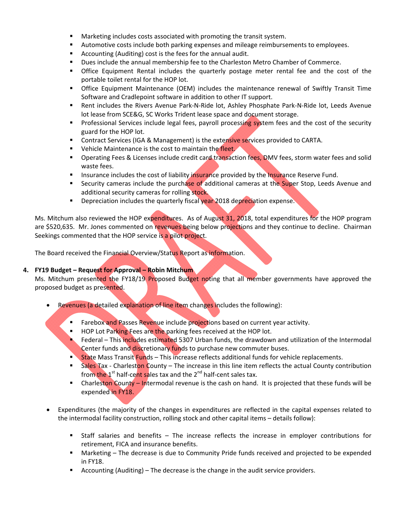- **Marketing includes costs associated with promoting the transit system.**
- Automotive costs include both parking expenses and mileage reimbursements to employees.
- Accounting (Auditing) cost is the fees for the annual audit.
- **Dues include the annual membership fee to the Charleston Metro Chamber of Commerce.**
- **The Set ince Equipment Rental includes the quarterly postage meter rental fee and the cost of the** portable toilet rental for the HOP lot.
- Office Equipment Maintenance (OEM) includes the maintenance renewal of Swiftly Transit Time Software and Cradlepoint software in addition to other IT support.
- Rent includes the Rivers Avenue Park-N-Ride lot, Ashley Phosphate Park-N-Ride lot, Leeds Avenue lot lease from SCE&G, SC Works Trident lease space and document storage.
- **Professional Services include legal fees, payroll processing system fees and the cost of the security** guard for the HOP lot.
- **Contract Services (IGA & Management) is the extensive services provided to CARTA.**
- Vehicle Maintenance is the cost to maintain the fleet.
- Operating Fees & Licenses include credit card transaction fees, DMV fees, storm water fees and solid waste fees.
- **Insurance includes the cost of liability insurance provided by the Insurance Reserve Fund.**
- **Security cameras include the purchase of additional cameras at the Super Stop, Leeds Avenue and** additional security cameras for rolling stock.
- **Depreciation includes the quarterly fiscal year 2018 depreciation expense.**

Ms. Mitchum also reviewed the HOP expenditures. As of August 31, 2018, total expenditures for the HOP program are \$520,635. Mr. Jones commented on revenues being below projections and they continue to decline. Chairman Seekings commented that the HOP service is a pilot project.

The Board received the Financial Overview/Status Report as information.

# **4. FY19 Budget – Request for Approval – Robin Mitchum**

Ms. Mitchum presented the FY18/19 Proposed Budget noting that all member governments have approved the proposed budget as presented.

- Revenues (a detailed explanation of line item changes includes the following):
	- **Farebox and Passes Revenue include projections based on current year activity.**
	- HOP Lot Parking Fees are the parking fees received at the HOP lot.
	- Federal This includes estimated 5307 Urban funds, the drawdown and utilization of the Intermodal Center funds and discretionary funds to purchase new commuter buses.
	- **State Mass Transit Funds This increase reflects additional funds for vehicle replacements.**
	- Sales Tax Charleston County The increase in this line item reflects the actual County contribution from the  $1<sup>st</sup>$  half-cent sales tax and the  $2<sup>nd</sup>$  half-cent sales tax.
	- **Charleston County Intermodal revenue is the cash on hand. It is projected that these funds will be** expended in FY18.
- Expenditures (the majority of the changes in expenditures are reflected in the capital expenses related to the intermodal facility construction, rolling stock and other capital items – details follow):
	- Staff salaries and benefits The increase reflects the increase in employer contributions for retirement, FICA and insurance benefits.
	- Marketing The decrease is due to Community Pride funds received and projected to be expended in FY18.
	- Accounting (Auditing) The decrease is the change in the audit service providers.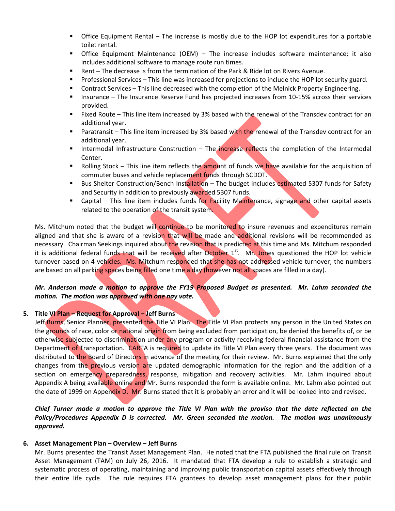- Office Equipment Rental The increase is mostly due to the HOP lot expenditures for a portable toilet rental.
- Office Equipment Maintenance (OEM) The increase includes software maintenance; it also includes additional software to manage route run times.
- Rent The decrease is from the termination of the Park & Ride lot on Rivers Avenue.
- Professional Services This line was increased for projections to include the HOP lot security guard.
- Contract Services This line decreased with the completion of the Melnick Property Engineering.
- Insurance The Insurance Reserve Fund has projected increases from 10-15% across their services provided.
- **Fixed Route This line item increased by 3% based with the renewal of the Transdev contract for an** additional year.
- **Paratransit This line item increased by 3% based with the renewal of the Transdev contract for an** additional year.
- Intermodal Infrastructure Construction The increase reflects the completion of the Intermodal Center.
- Rolling Stock This line item reflects the amount of funds we have available for the acquisition of commuter buses and vehicle replacement funds through SCDOT.
- Bus Shelter Construction/Bench Installation The budget includes estimated 5307 funds for Safety and Security in addition to previously awarded 5307 funds.
- **EXT** Capital This line item includes funds for Facility Maintenance, signage and other capital assets related to the operation of the transit system.

Ms. Mitchum noted that the budget will continue to be monitored to insure revenues and expenditures remain aligned and that she is aware of a revision that will be made and additional revisions will be recommended as necessary. Chairman Seekings inquired about the revision that is predicted at this time and Ms. Mitchum responded it is additional federal funds that will be received after October  $1<sup>st</sup>$ . Mr. Jones questioned the HOP lot vehicle turnover based on 4 vehicles. Ms. Mitchum responded that she has not addressed vehicle turnover; the numbers are based on all parking spaces being filled one time a day (however not all spaces are filled in a day).

# Mr. Anderson made a motion to approve the FY19 Proposed Budget as presented. Mr. Lahm seconded the *motion. The motion was approved with one nay vote.*

# **5. Title VI Plan – Request for Approval – Jeff Burns**

Jeff Burns, Senior Planner, presented the Title VI Plan. The Title VI Plan protects any person in the United States on the grounds of race, color or national origin from being excluded from participation, be denied the benefits of, or be otherwise subjected to discrimination under any program or activity receiving federal financial assistance from the Department of Transportation. CARTA is required to update its Title VI Plan every three years. The document was distributed to the Board of Directors in advance of the meeting for their review. Mr. Burns explained that the only changes from the previous version are updated demographic information for the region and the addition of a section on emergency preparedness, response, mitigation and recovery activities. Mr. Lahm inquired about Appendix A being available online and Mr. Burns responded the form is available online. Mr. Lahm also pointed out the date of 1999 on Appendix D. Mr. Burns stated that it is probably an error and it will be looked into and revised.

Chief Turner made a motion to approve the Title VI Plan with the proviso that the date reflected on the *Policy/Procedures Appendix D is corrected. Mr. Green seconded the motion. The motion was unanimously approved.*

# **6. Asset Management Plan – Overview – Jeff Burns**

Mr. Burns presented the Transit Asset Management Plan. He noted that the FTA published the final rule on Transit Asset Management (TAM) on July 26, 2016. It mandated that FTA develop a rule to establish a strategic and systematic process of operating, maintaining and improving public transportation capital assets effectively through their entire life cycle. The rule requires FTA grantees to develop asset management plans for their public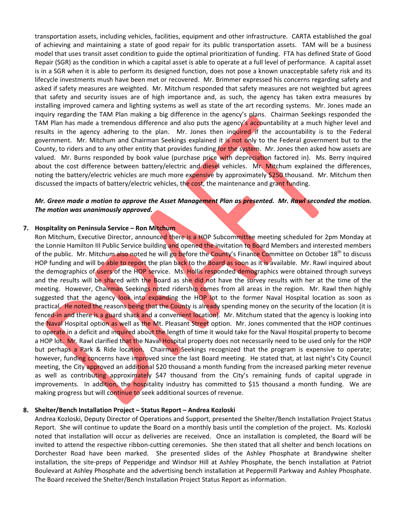transportation assets, including vehicles, facilities, equipment and other infrastructure. CARTA established the goal of achieving and maintaining a state of good repair for its public transportation assets. TAM will be a business model that uses transit asset condition to guide the optimal prioritization of funding. FTA has defined State of Good Repair (SGR) as the condition in which a capital asset is able to operate at a full level of performance. A capital asset is in a SGR when it is able to perform its designed function, does not pose a known unacceptable safety risk and its lifecycle investments mush have been met or recovered. Mr. Brimmer expressed his concerns regarding safety and asked if safety measures are weighted. Mr. Mitchum responded that safety measures are not weighted but agrees that safety and security issues are of high importance and, as such, the agency has taken extra measures by installing improved camera and lighting systems as well as state of the art recording systems. Mr. Jones made an inquiry regarding the TAM Plan making a big difference in the agency's plans. Chairman Seekings responded the TAM Plan has made a tremendous difference and also puts the agency's accountability at a much higher level and results in the agency adhering to the plan. Mr. Jones then inquired if the accountability is to the Federal government. Mr. Mitchum and Chairman Seekings explained it is not only to the Federal government but to the County, to riders and to any other entity that provides funding for the system. Mr. Jones then asked how assets are valued. Mr. Burns responded by book value (purchase price with depreciation factored in). Ms. Berry inquired about the cost difference between battery/electric and diesel vehicles. Mr. Mitchum explained the differences, noting the battery/electric vehicles are much more expensive by approximately \$250 thousand. Mr. Mitchum then discussed the impacts of battery/electric vehicles, the cost, the maintenance and grant funding.

# Mr. Green made a motion to approve the Asset Management Plan as presented. Mr. Rawl seconded the motion. *The motion was unanimously approved.*

#### **7. Hospitality on Peninsula Service – Ron Mitchum**

Ron Mitchum, Executive Director, announced there is a HOP Subcommittee meeting scheduled for 2pm Monday at the Lonnie Hamilton III Public Service building and opened the invitation to Board Members and interested members of the public. Mr. Mitchum also noted he will go before the County's Finance Committee on October 18<sup>th</sup> to discuss HOP funding and will be able to report the plan back to the Board as soon as it is available. Mr. Rawl inquired about the demographics of users of the HOP service. Ms. Hollis responded demographics were obtained through surveys and the results will be shared with the Board as she did not have the survey results with her at the time of the meeting. However, Chairman Seekings noted ridership comes from all areas in the region. Mr. Rawl then highly suggested that the agency look into expanding the HOP lot to the former Naval Hospital location as soon as practical. He noted the reasons being that the County is already spending money on the security of the location (it is fenced-in and there is a guard shack and a convenient location). Mr. Mitchum stated that the agency is looking into the Naval Hospital option as well as the Mt. Pleasant Street option. Mr. Jones commented that the HOP continues to operate in a deficit and inquired about the length of time it would take for the Naval Hospital property to become a HOP lot. Mr. Rawl clarified that the Naval Hospital property does not necessarily need to be used only for the HOP but perhaps a Park & Ride location. Chairman Seekings recognized that the program is expensive to operate; however, funding concerns have improved since the last Board meeting. He stated that, at last night's City Council meeting, the City approved an additional \$20 thousand a month funding from the increased parking meter revenue as well as contributing approximately \$47 thousand from the City's remaining funds of capital upgrade in improvements. In addition, the hospitality industry has committed to \$15 thousand a month funding. We are making progress but will continue to seek additional sources of revenue.

#### **8. Shelter/Bench Installation Project – Status Report – Andrea Kozloski**

Andrea Kozloski, Deputy Director of Operations and Support, presented the Shelter/Bench Installation Project Status Report. She will continue to update the Board on a monthly basis until the completion of the project. Ms. Kozloski noted that installation will occur as deliveries are received. Once an installation is completed, the Board will be invited to attend the respective ribbon-cutting ceremonies. She then stated that all shelter and bench locations on Dorchester Road have been marked. She presented slides of the Ashley Phosphate at Brandywine shelter installation, the site‐preps of Pepperidge and Windsor Hill at Ashley Phosphate, the bench installation at Patriot Boulevard at Ashley Phosphate and the advertising bench installation at Peppermill Parkway and Ashley Phosphate. The Board received the Shelter/Bench Installation Project Status Report as information.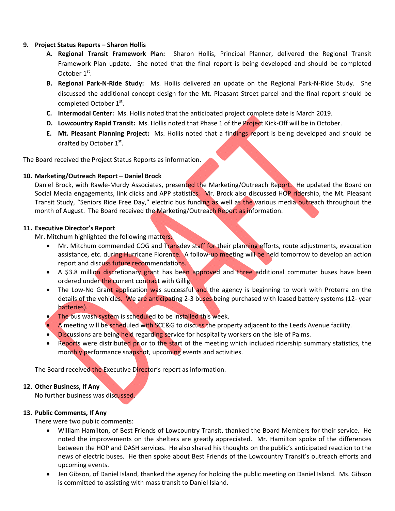# **9. Project Status Reports – Sharon Hollis**

- **A. Regional Transit Framework Plan:**  Sharon Hollis, Principal Planner, delivered the Regional Transit Framework Plan update. She noted that the final report is being developed and should be completed October 1<sup>st</sup>.
- **B. Regional Park‐N‐Ride Study:**  Ms. Hollis delivered an update on the Regional Park‐N‐Ride Study. She discussed the additional concept design for the Mt. Pleasant Street parcel and the final report should be completed October 1st.
- **C. Intermodal Center:** Ms. Hollis noted that the anticipated project complete date is March 2019.
- **D. Lowcountry Rapid Transit:** Ms. Hollis noted that Phase 1 of the Project Kick‐Off will be in October.
- **E. Mt. Pleasant Planning Project:** Ms. Hollis noted that a findings report is being developed and should be drafted by October  $1<sup>st</sup>$ .

The Board received the Project Status Reports as information.

# **10. Marketing/Outreach Report – Daniel Brock**

Daniel Brock, with Rawle-Murdy Associates, presented the Marketing/Outreach Report. He updated the Board on Social Media engagements, link clicks and APP statistics. Mr. Brock also discussed HOP ridership, the Mt. Pleasant Transit Study, "Seniors Ride Free Day," electric bus funding as well as the various media outreach throughout the month of August. The Board received the Marketing/Outreach Report as information.

#### **11. Executive Director's Report**

Mr. Mitchum highlighted the following matters:

- Mr. Mitchum commended COG and Transdev staff for their planning efforts, route adjustments, evacuation assistance, etc. during Hurricane Florence. A follow-up meeting will be held tomorrow to develop an action report and discuss future recommendations.
- A \$3.8 million discretionary grant has been approved and three additional commuter buses have been ordered under the current contract with Gillig.
- The Low-No Grant application was successful and the agency is beginning to work with Proterra on the details of the vehicles. We are anticipating 2‐3 buses being purchased with leased battery systems (12‐ year batteries).
- The bus wash system is scheduled to be installed this week.
- A meeting will be scheduled with SCE&G to discuss the property adjacent to the Leeds Avenue facility.
- Discussions are being held regarding service for hospitality workers on the Isle of Palms.
- Reports were distributed prior to the start of the meeting which included ridership summary statistics, the monthly performance snapshot, upcoming events and activities.

The Board received the Executive Director's report as information.

# **12. Other Business, If Any**

No further business was discussed.

# **13. Public Comments, If Any**

There were two public comments:

- William Hamilton, of Best Friends of Lowcountry Transit, thanked the Board Members for their service. He noted the improvements on the shelters are greatly appreciated. Mr. Hamilton spoke of the differences between the HOP and DASH services. He also shared his thoughts on the public's anticipated reaction to the news of electric buses. He then spoke about Best Friends of the Lowcountry Transit's outreach efforts and upcoming events.
- Jen Gibson, of Daniel Island, thanked the agency for holding the public meeting on Daniel Island. Ms. Gibson is committed to assisting with mass transit to Daniel Island.